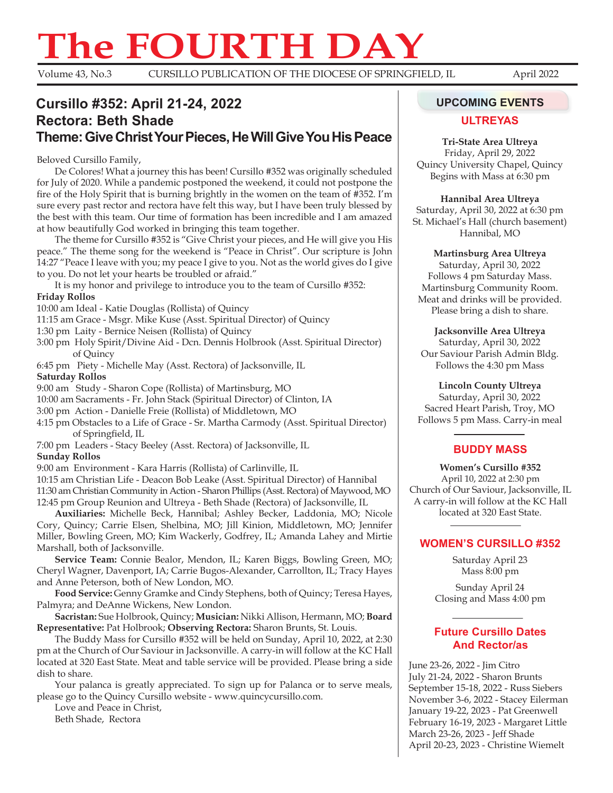# **The FOURTH DAY**<br>Volume 43, No.3 CURSILLO PUBLICATION OF THE DIOCESE OF SPRINGEI

Volume 43, No.3 CURSILLO PUBLICATION OF THE DIOCESE OF SPRINGFIELD, IL April 2022

# **Cursillo #352: April 21-24, 2022 UPCOMING EVENTS Rectora: Beth Shade Theme: Give Christ Your Pieces, He Will Give You His Peace**

Beloved Cursillo Family,

De Colores! What a journey this has been! Cursillo #352 was originally scheduled for July of 2020. While a pandemic postponed the weekend, it could not postpone the fire of the Holy Spirit that is burning brightly in the women on the team of #352. I'm sure every past rector and rectora have felt this way, but I have been truly blessed by the best with this team. Our time of formation has been incredible and I am amazed at how beautifully God worked in bringing this team together.

The theme for Cursillo #352 is "Give Christ your pieces, and He will give you His peace." The theme song for the weekend is "Peace in Christ". Our scripture is John 14:27 "Peace I leave with you; my peace I give to you. Not as the world gives do I give to you. Do not let your hearts be troubled or afraid."

It is my honor and privilege to introduce you to the team of Cursillo #352: **Friday Rollos**

10:00 am Ideal - Katie Douglas (Rollista) of Quincy

11:15 am Grace - Msgr. Mike Kuse (Asst. Spiritual Director) of Quincy

1:30 pm Laity - Bernice Neisen (Rollista) of Quincy

3:00 pm Holy Spirit/Divine Aid - Dcn. Dennis Holbrook (Asst. Spiritual Director) of Quincy

6:45 pm Piety - Michelle May (Asst. Rectora) of Jacksonville, IL **Saturday Rollos**

9:00 am Study - Sharon Cope (Rollista) of Martinsburg, MO

10:00 am Sacraments - Fr. John Stack (Spiritual Director) of Clinton, IA

3:00 pm Action - Danielle Freie (Rollista) of Middletown, MO

4:15 pm Obstacles to a Life of Grace - Sr. Martha Carmody (Asst. Spiritual Director) of Springfield, IL

7:00 pm Leaders - Stacy Beeley (Asst. Rectora) of Jacksonville, IL **Sunday Rollos**

9:00 am Environment - Kara Harris (Rollista) of Carlinville, IL

10:15 am Christian Life - Deacon Bob Leake (Asst. Spiritual Director) of Hannibal 11:30 am Christian Community in Action - Sharon Phillips (Asst. Rectora) of Maywood, MO 12:45 pm Group Reunion and Ultreya - Beth Shade (Rectora) of Jacksonville, IL

**Auxiliaries:** Michelle Beck, Hannibal; Ashley Becker, Laddonia, MO; Nicole Cory, Quincy; Carrie Elsen, Shelbina, MO; Jill Kinion, Middletown, MO; Jennifer Miller, Bowling Green, MO; Kim Wackerly, Godfrey, IL; Amanda Lahey and Mirtie Marshall, both of Jacksonville.

**Service Team:** Connie Bealor, Mendon, IL; Karen Biggs, Bowling Green, MO; Cheryl Wagner, Davenport, IA; Carrie Bugos-Alexander, Carrollton, IL; Tracy Hayes and Anne Peterson, both of New London, MO.

**Food Service:** Genny Gramke and Cindy Stephens, both of Quincy; Teresa Hayes, Palmyra; and DeAnne Wickens, New London.

**Sacristan:** Sue Holbrook, Quincy; **Musician:** Nikki Allison, Hermann, MO; **Board Representative:** Pat Holbrook; **Observing Rectora:** Sharon Brunts, St. Louis.

The Buddy Mass for Cursillo #352 will be held on Sunday, April 10, 2022, at 2:30 pm at the Church of Our Saviour in Jacksonville. A carry-in will follow at the KC Hall located at 320 East State. Meat and table service will be provided. Please bring a side dish to share.

Your palanca is greatly appreciated. To sign up for Palanca or to serve meals, please go to the Quincy Cursillo website - www.quincycursillo.com.

Love and Peace in Christ, Beth Shade, Rectora

### **ULTREYAS**

**Tri-State Area Ultreya**

Friday, April 29, 2022 Quincy University Chapel, Quincy Begins with Mass at 6:30 pm

**Hannibal Area Ultreya**

Saturday, April 30, 2022 at 6:30 pm St. Michael's Hall (church basement) Hannibal, MO

**Martinsburg Area Ultreya**

Saturday, April 30, 2022 Follows 4 pm Saturday Mass. Martinsburg Community Room. Meat and drinks will be provided. Please bring a dish to share.

**Jacksonville Area Ultreya** Saturday, April 30, 2022 Our Saviour Parish Admin Bldg. Follows the 4:30 pm Mass

**Lincoln County Ultreya**

Saturday, April 30, 2022 Sacred Heart Parish, Troy, MO Follows 5 pm Mass. Carry-in meal

## **BUDDY MASS**

**Women's Cursillo #352** April 10, 2022 at 2:30 pm Church of Our Saviour, Jacksonville, IL A carry-in will follow at the KC Hall located at 320 East State.

# **WOMEN'S CURSILLO #352**

Saturday April 23 Mass 8:00 pm

Sunday April 24 Closing and Mass 4:00 pm

# **Future Cursillo Dates and Rector/as**

June 23-26, 2022 - Jim Citro July 21-24, 2022 - Sharon Brunts September 15-18, 2022 - Russ Siebers November 3-6, 2022 - Stacey Eilerman January 19-22, 2023 - Pat Greenwell February 16-19, 2023 - Margaret Little March 23-26, 2023 - Jeff Shade April 20-23, 2023 - Christine Wiemelt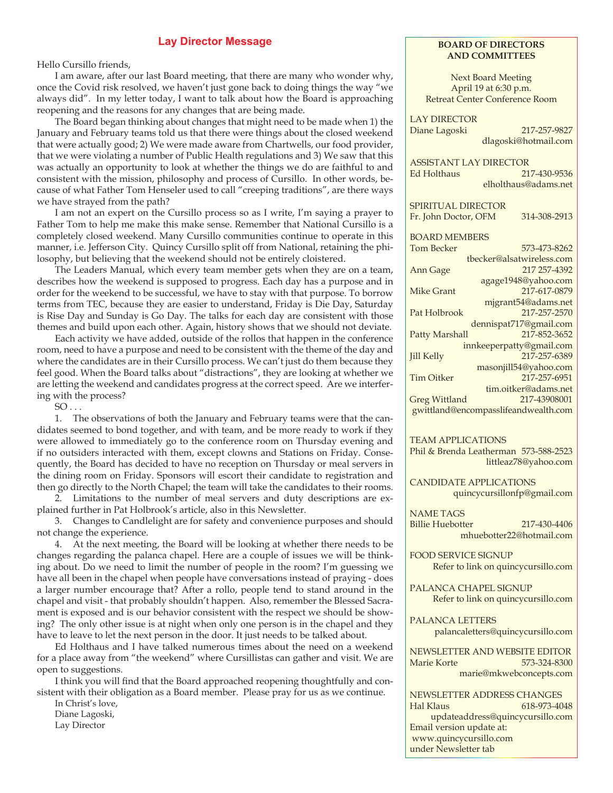#### **Lay Director Message**

Hello Cursillo friends,

I am aware, after our last Board meeting, that there are many who wonder why, once the Covid risk resolved, we haven't just gone back to doing things the way "we always did". In my letter today, I want to talk about how the Board is approaching reopening and the reasons for any changes that are being made.

The Board began thinking about changes that might need to be made when 1) the January and February teams told us that there were things about the closed weekend that were actually good; 2) We were made aware from Chartwells, our food provider, that we were violating a number of Public Health regulations and 3) We saw that this was actually an opportunity to look at whether the things we do are faithful to and consistent with the mission, philosophy and process of Cursillo. In other words, because of what Father Tom Henseler used to call "creeping traditions", are there ways we have strayed from the path?

I am not an expert on the Cursillo process so as I write, I'm saying a prayer to Father Tom to help me make this make sense. Remember that National Cursillo is a completely closed weekend. Many Cursillo communities continue to operate in this manner, i.e. Jefferson City. Quincy Cursillo split off from National, retaining the philosophy, but believing that the weekend should not be entirely cloistered.

The Leaders Manual, which every team member gets when they are on a team, describes how the weekend is supposed to progress. Each day has a purpose and in order for the weekend to be successful, we have to stay with that purpose. To borrow terms from TEC, because they are easier to understand, Friday is Die Day, Saturday is Rise Day and Sunday is Go Day. The talks for each day are consistent with those themes and build upon each other. Again, history shows that we should not deviate.

Each activity we have added, outside of the rollos that happen in the conference room, need to have a purpose and need to be consistent with the theme of the day and where the candidates are in their Cursillo process. We can't just do them because they feel good. When the Board talks about "distractions", they are looking at whether we are letting the weekend and candidates progress at the correct speed. Are we interfering with the process?

 $SO \ldots$ 

1. The observations of both the January and February teams were that the candidates seemed to bond together, and with team, and be more ready to work if they were allowed to immediately go to the conference room on Thursday evening and if no outsiders interacted with them, except clowns and Stations on Friday. Consequently, the Board has decided to have no reception on Thursday or meal servers in the dining room on Friday. Sponsors will escort their candidate to registration and then go directly to the North Chapel; the team will take the candidates to their rooms.

2. Limitations to the number of meal servers and duty descriptions are explained further in Pat Holbrook's article, also in this Newsletter.

3. Changes to Candlelight are for safety and convenience purposes and should not change the experience.

4. At the next meeting, the Board will be looking at whether there needs to be changes regarding the palanca chapel. Here are a couple of issues we will be thinking about. Do we need to limit the number of people in the room? I'm guessing we have all been in the chapel when people have conversations instead of praying - does a larger number encourage that? After a rollo, people tend to stand around in the chapel and visit - that probably shouldn't happen. Also, remember the Blessed Sacrament is exposed and is our behavior consistent with the respect we should be showing? The only other issue is at night when only one person is in the chapel and they have to leave to let the next person in the door. It just needs to be talked about.

Ed Holthaus and I have talked numerous times about the need on a weekend for a place away from "the weekend" where Cursillistas can gather and visit. We are open to suggestions.

I think you will find that the Board approached reopening thoughtfully and consistent with their obligation as a Board member. Please pray for us as we continue.

In Christ's love, Diane Lagoski, Lay Director

#### **BOARD OF DIRECTORS AND COMMITTEES**

Next Board Meeting April 19 at 6:30 p.m. Retreat Center Conference Room

LAY DIRECTOR Diane Lagoski 217-257-9827 dlagoski@hotmail.com

ASSISTANT LAY DIRECTOR Ed Holthaus 217-430-9536 elholthaus@adams.net

SPIRITUAL DIRECTOR

Fr. John Doctor, OFM 314-308-2913

| <b>BOARD MEMBERS</b>                 |                           |
|--------------------------------------|---------------------------|
| <b>Tom Becker</b>                    | 573-473-8262              |
|                                      | tbecker@alsatwireless.com |
| Ann Gage                             | 217 257-4392              |
|                                      | agage1948@yahoo.com       |
| <b>Mike Grant</b>                    | 217-617-0879              |
|                                      | mjgrant54@adams.net       |
| Pat Holbrook                         | 217-257-2570              |
|                                      | dennispat717@gmail.com    |
| Patty Marshall                       | 217-852-3652              |
|                                      | innkeeperpatty@gmail.com  |
| <b>Jill Kelly</b>                    | 217-257-6389              |
|                                      | masonjill54@yahoo.com     |
| <b>Tim Oitker</b>                    | 217-257-6951              |
|                                      | tim.oitker@adams.net      |
| <b>Greg Wittland</b>                 | 217-43908001              |
| gwittland@encompasslifeandwealth.com |                           |

TEAM APPLICATIONS

Phil & Brenda Leatherman 573-588-2523 littleaz78@yahoo.com

CANDIDATE APPLICATIONS quincycursillonfp@gmail.com

NAME TAGS Billie Huebotter 217-430-4406 mhuebotter22@hotmail.com

FOOD SERVICE SIGNUP Refer to link on quincycursillo.com

PALANCA CHAPEL SIGNUP

Refer to link on quincycursillo.com

PALANCA LETTERS palancaletters@quincycursillo.com

NEWSLETTER AND WEBSITE EDITOR Marie Korte 573-324-8300 marie@mkwebconcepts.com

NEWSLETTER ADDRESS CHANGES Hal Klaus 618-973-4048 updateaddress@quincycursillo.com Email version update at: www.quincycursillo.com under Newsletter tab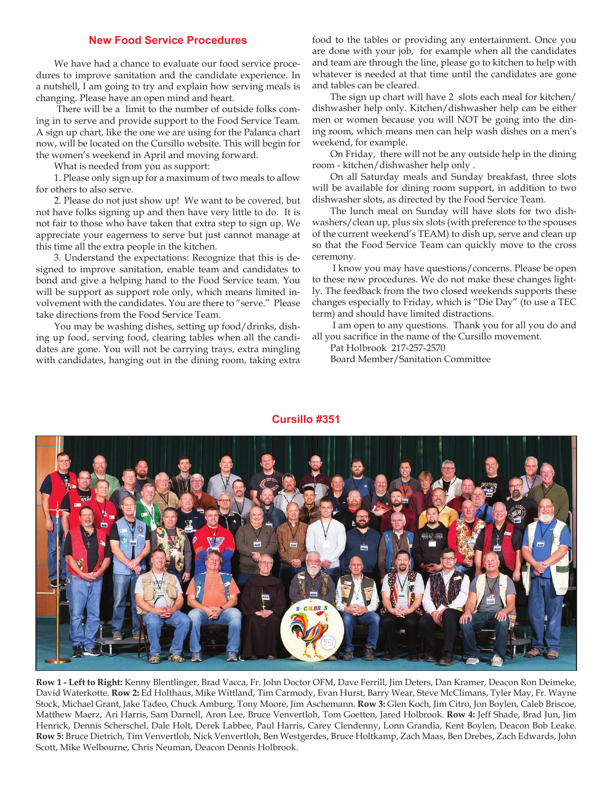#### **New Food Service Procedures**

We have had a chance to evaluate our food service procedures to improve sanitation and the candidate experience. In a nutshell, I am going to try and explain how serving meals is changing. Please have an open mind and heart.

 There will be a limit to the number of outside folks coming in to serve and provide support to the Food Service Team. A sign up chart, like the one we are using for the Palanca chart now, will be located on the Cursillo website. This will begin for the women's weekend in April and moving forward.

What is needed from you as support:

1. Please only sign up for a maximum of two meals to allow for others to also serve.

2. Please do not just show up! We want to be covered, but not have folks signing up and then have very little to do. It is not fair to those who have taken that extra step to sign up. We appreciate your eagerness to serve but just cannot manage at this time all the extra people in the kitchen.

3. Understand the expectations: Recognize that this is designed to improve sanitation, enable team and candidates to bond and give a helping hand to the Food Service team. You will be support as support role only, which means limited involvement with the candidates. You are there to "serve." Please take directions from the Food Service Team.

You may be washing dishes, setting up food/drinks, dishing up food, serving food, clearing tables when all the candidates are gone. You will not be carrying trays, extra mingling with candidates, hanging out in the dining room, taking extra food to the tables or providing any entertainment. Once you are done with your job, for example when all the candidates and team are through the line, please go to kitchen to help with whatever is needed at that time until the candidates are gone and tables can be cleared.

The sign up chart will have 2 slots each meal for kitchen/ dishwasher help only. Kitchen/dishwasher help can be either men or women because you will NOT be going into the dining room, which means men can help wash dishes on a men's weekend, for example.

On Friday, there will not be any outside help in the dining room - kitchen/dishwasher help only .

On all Saturday meals and Sunday breakfast, three slots will be available for dining room support, in addition to two dishwasher slots, as directed by the Food Service Team.

The lunch meal on Sunday will have slots for two dishwashers/clean up, plus six slots (with preference to the spouses of the current weekend's TEAM) to dish up, serve and clean up so that the Food Service Team can quickly move to the cross ceremony.

 I know you may have questions/concerns. Please be open to these new procedures. We do not make these changes lightly. The feedback from the two closed weekends supports these changes especially to Friday, which is "Die Day" (to use a TEC term) and should have limited distractions.

 I am open to any questions. Thank you for all you do and all you sacrifice in the name of the Cursillo movement.

Pat Holbrook 217-257-2570 Board Member/Sanitation Committee



**Row 1 - Left to Right:** Kenny Blentlinger, Brad Vacca, Fr. John Doctor OFM, Dave Ferrill, Jim Deters, Dan Kramer, Deacon Ron Deimeke, David Waterkotte. **Row 2:** Ed Holthaus, Mike Wittland, Tim Carmody, Evan Hurst, Barry Wear, Steve McClimans, Tyler May, Fr. Wayne Stock, Michael Grant, Jake Tadeo, Chuck Amburg, Tony Moore, Jim Aschemann. **Row 3:** Glen Koch, Jim Citro, Jon Boylen, Caleb Briscoe, Matthew Maerz, Ari Harris, Sam Darnell, Aron Lee, Bruce Venvertloh, Tom Goetten, Jared Holbrook. **Row 4:** Jeff Shade, Brad Jun, Jim Henrick, Dennis Scherschel, Dale Holt, Derek Labbee, Paul Harris, Carey Clendenny, Lonn Grandia, Kent Boylen, Deacon Bob Leake. **Row 5:** Bruce Dietrich, Tim Venvertloh, Nick Venvertloh, Ben Westgerdes, Bruce Holtkamp, Zach Maas, Ben Drebes, Zach Edwards, John Scott, Mike Welbourne, Chris Neuman, Deacon Dennis Holbrook.

#### **Cursillo #351**